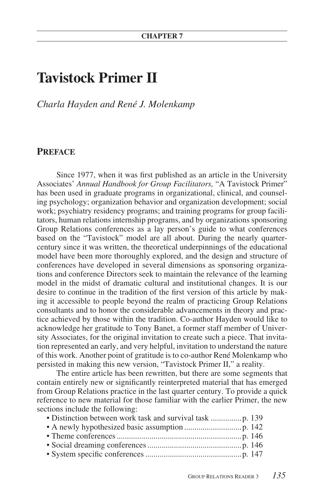# **Tavistock Primer II**

*Charla Hayden and René J. Molenkamp*

# **PREFACE**

Since 1977, when it was first published as an article in the University Associates' *Annual Handbook for Group Facilitators,* "A Tavistock Primer" has been used in graduate programs in organizational, clinical, and counseling psychology; organization behavior and organization development; social work; psychiatry residency programs; and training programs for group facilitators, human relations internship programs, and by organizations sponsoring Group Relations conferences as a lay person's guide to what conferences based on the "Tavistock" model are all about. During the nearly quartercentury since it was written, the theoretical underpinnings of the educational model have been more thoroughly explored, and the design and structure of conferences have developed in several dimensions as sponsoring organizations and conference Directors seek to maintain the relevance of the learning model in the midst of dramatic cultural and institutional changes. It is our desire to continue in the tradition of the first version of this article by making it accessible to people beyond the realm of practicing Group Relations consultants and to honor the considerable advancements in theory and practice achieved by those within the tradition. Co-author Hayden would like to acknowledge her gratitude to Tony Banet, a former staff member of University Associates, for the original invitation to create such a piece. That invitation represented an early, and very helpful, invitation to understand the nature of this work. Another point of gratitude is to co-author René Molenkamp who persisted in making this new version, "Tavistock Primer II," a reality.

The entire article has been rewritten, but there are some segments that contain entirely new or significantly reinterpreted material that has emerged from Group Relations practice in the last quarter century. To provide a quick reference to new material for those familiar with the earlier Primer, the new sections include the following: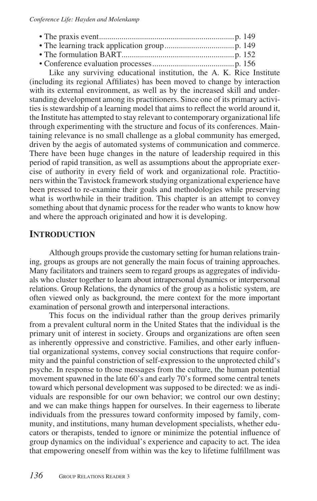Like any surviving educational institution, the A. K. Rice Institute (including its regional Affiliates) has been moved to change by interaction with its external environment, as well as by the increased skill and understanding development among its practitioners. Since one of its primary activities is stewardship of a learning model that aims to reflect the world around it, the Institute has attempted to stay relevant to contemporary organizational life through experimenting with the structure and focus of its conferences. Maintaining relevance is no small challenge as a global community has emerged, driven by the aegis of automated systems of communication and commerce. There have been huge changes in the nature of leadership required in this period of rapid transition, as well as assumptions about the appropriate exercise of authority in every field of work and organizational role. Practitioners within the Tavistock framework studying organizational experience have been pressed to re-examine their goals and methodologies while preserving what is worthwhile in their tradition. This chapter is an attempt to convey something about that dynamic process for the reader who wants to know how and where the approach originated and how it is developing.

# **INTRODUCTION**

Although groups provide the customary setting for human relations training, groups as groups are not generally the main focus of training approaches. Many facilitators and trainers seem to regard groups as aggregates of individuals who cluster together to learn about intrapersonal dynamics or interpersonal relations. Group Relations, the dynamics of the group as a holistic system, are often viewed only as background, the mere context for the more important examination of personal growth and interpersonal interactions.

This focus on the individual rather than the group derives primarily from a prevalent cultural norm in the United States that the individual is the primary unit of interest in society. Groups and organizations are often seen as inherently oppressive and constrictive. Families, and other early influential organizational systems, convey social constructions that require conformity and the painful constriction of self-expression to the unprotected child's psyche. In response to those messages from the culture, the human potential movement spawned in the late 60's and early 70's formed some central tenets toward which personal development was supposed to be directed: we as individuals are responsible for our own behavior; we control our own destiny; and we can make things happen for ourselves. In their eagerness to liberate individuals from the pressures toward conformity imposed by family, community, and institutions, many human development specialists, whether educators or therapists, tended to ignore or minimize the potential influence of group dynamics on the individual's experience and capacity to act. The idea that empowering oneself from within was the key to lifetime fulfillment was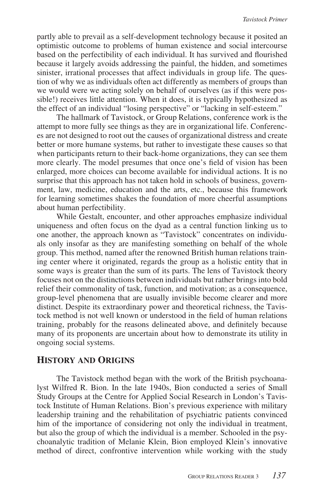partly able to prevail as a self-development technology because it posited an optimistic outcome to problems of human existence and social intercourse based on the perfectibility of each individual. It has survived and flourished because it largely avoids addressing the painful, the hidden, and sometimes sinister, irrational processes that affect individuals in group life. The question of why we as individuals often act differently as members of groups than we would were we acting solely on behalf of ourselves (as if this were possible!) receives little attention. When it does, it is typically hypothesized as the effect of an individual "losing perspective" or "lacking in self-esteem."

The hallmark of Tavistock, or Group Relations, conference work is the attempt to more fully see things as they are in organizational life. Conferences are not designed to root out the causes of organizational distress and create better or more humane systems, but rather to investigate these causes so that when participants return to their back-home organizations, they can see them more clearly. The model presumes that once one's field of vision has been enlarged, more choices can become available for individual actions. It is no surprise that this approach has not taken hold in schools of business, government, law, medicine, education and the arts, etc., because this framework for learning sometimes shakes the foundation of more cheerful assumptions about human perfectibility.

While Gestalt, encounter, and other approaches emphasize individual uniqueness and often focus on the dyad as a central function linking us to one another, the approach known as "Tavistock" concentrates on individuals only insofar as they are manifesting something on behalf of the whole group. This method, named after the renowned British human relations training center where it originated, regards the group as a holistic entity that in some ways is greater than the sum of its parts. The lens of Tavistock theory focuses not on the distinctions between individuals but rather brings into bold relief their commonality of task, function, and motivation; as a consequence, group-level phenomena that are usually invisible become clearer and more distinct. Despite its extraordinary power and theoretical richness, the Tavistock method is not well known or understood in the field of human relations training, probably for the reasons delineated above, and definitely because many of its proponents are uncertain about how to demonstrate its utility in ongoing social systems.

#### **HISTORY AND ORIGINS**

The Tavistock method began with the work of the British psychoanalyst Wilfred R. Bion. In the late 1940s, Bion conducted a series of Small Study Groups at the Centre for Applied Social Research in London's Tavistock Institute of Human Relations. Bion's previous experience with military leadership training and the rehabilitation of psychiatric patients convinced him of the importance of considering not only the individual in treatment, but also the group of which the individual is a member. Schooled in the psychoanalytic tradition of Melanie Klein, Bion employed Klein's innovative method of direct, confrontive intervention while working with the study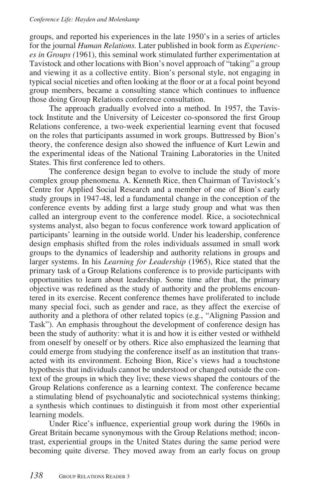#### *Conference Life: Hayden and Molenkamp*

groups, and reported his experiences in the late 1950's in a series of articles for the journal *Human Relations.* Later published in book form as *Experiences in Groups (*1961), this seminal work stimulated further experimentation at Tavistock and other locations with Bion's novel approach of "taking" a group and viewing it as a collective entity. Bion's personal style, not engaging in typical social niceties and often looking at the floor or at a focal point beyond group members, became a consulting stance which continues to influence those doing Group Relations conference consultation.

The approach gradually evolved into a method. In 1957, the Tavistock Institute and the University of Leicester co-sponsored the first Group Relations conference, a two-week experiential learning event that focused on the roles that participants assumed in work groups. Buttressed by Bion's theory, the conference design also showed the influence of Kurt Lewin and the experimental ideas of the National Training Laboratories in the United States. This first conference led to others.

The conference design began to evolve to include the study of more complex group phenomena. A. Kenneth Rice, then Chairman of Tavistock's Centre for Applied Social Research and a member of one of Bion's early study groups in 1947-48, led a fundamental change in the conception of the conference events by adding first a large study group and what was then called an intergroup event to the conference model. Rice, a sociotechnical systems analyst, also began to focus conference work toward application of participants' learning in the outside world. Under his leadership, conference design emphasis shifted from the roles individuals assumed in small work groups to the dynamics of leadership and authority relations in groups and larger systems. In his *Learning for Leadership* (1965), Rice stated that the primary task of a Group Relations conference is to provide participants with opportunities to learn about leadership. Some time after that, the primary objective was redefined as the study of authority and the problems encountered in its exercise. Recent conference themes have proliferated to include many special foci, such as gender and race, as they affect the exercise of authority and a plethora of other related topics (e.g., "Aligning Passion and Task"). An emphasis throughout the development of conference design has been the study of authority: what it is and how it is either vested or withheld from oneself by oneself or by others. Rice also emphasized the learning that could emerge from studying the conference itself as an institution that transacted with its environment. Echoing Bion, Rice's views had a touchstone hypothesis that individuals cannot be understood or changed outside the context of the groups in which they live; these views shaped the contours of the Group Relations conference as a learning context. The conference became a stimulating blend of psychoanalytic and sociotechnical systems thinking; a synthesis which continues to distinguish it from most other experiential learning models.

Under Rice's influence, experiential group work during the 1960s in Great Britain became synonymous with the Group Relations method; incontrast, experiential groups in the United States during the same period were becoming quite diverse. They moved away from an early focus on group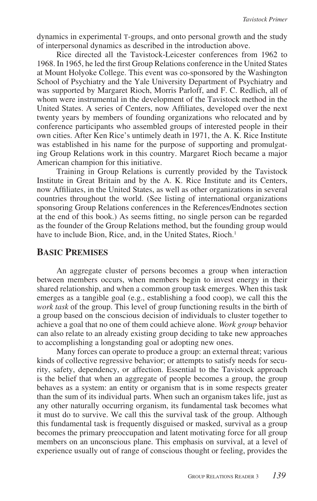dynamics in experimental T-groups, and onto personal growth and the study of interpersonal dynamics as described in the introduction above.

Rice directed all the Tavistock-Leicester conferences from 1962 to 1968. In 1965, he led the first Group Relations conference in the United States at Mount Holyoke College. This event was co-sponsored by the Washington School of Psychiatry and the Yale University Department of Psychiatry and was supported by Margaret Rioch, Morris Parloff, and F. C. Redlich, all of whom were instrumental in the development of the Tavistock method in the United States. A series of Centers, now Affiliates, developed over the next twenty years by members of founding organizations who relocated and by conference participants who assembled groups of interested people in their own cities. After Ken Rice's untimely death in 1971, the A. K. Rice Institute was established in his name for the purpose of supporting and promulgating Group Relations work in this country. Margaret Rioch became a major American champion for this initiative.

Training in Group Relations is currently provided by the Tavistock Institute in Great Britain and by the A. K. Rice Institute and its Centers, now Affiliates, in the United States, as well as other organizations in several countries throughout the world. (See listing of international organizations sponsoring Group Relations conferences in the References/Endnotes section at the end of this book.) As seems fitting, no single person can be regarded as the founder of the Group Relations method, but the founding group would have to include Bion, Rice, and, in the United States, Rioch.<sup>1</sup>

## **BASIC PREMISES**

An aggregate cluster of persons becomes a group when interaction between members occurs, when members begin to invest energy in their shared relationship, and when a common group task emerges. When this task emerges as a tangible goal (e.g., establishing a food coop), we call this the *work task* of the group. This level of group functioning results in the birth of a group based on the conscious decision of individuals to cluster together to achieve a goal that no one of them could achieve alone. *Work group* behavior can also relate to an already existing group deciding to take new approaches to accomplishing a longstanding goal or adopting new ones.

Many forces can operate to produce a group: an external threat; various kinds of collective regressive behavior; or attempts to satisfy needs for security, safety, dependency, or affection. Essential to the Tavistock approach is the belief that when an aggregate of people becomes a group, the group behaves as a system: an entity or organism that is in some respects greater than the sum of its individual parts. When such an organism takes life, just as any other naturally occurring organism, its fundamental task becomes what it must do to survive. We call this the survival task of the group. Although this fundamental task is frequently disguised or masked, survival as a group becomes the primary preoccupation and latent motivating force for all group members on an unconscious plane. This emphasis on survival, at a level of experience usually out of range of conscious thought or feeling, provides the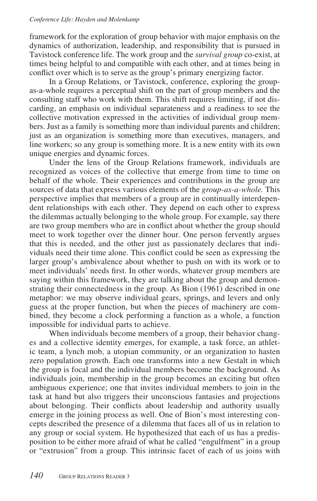framework for the exploration of group behavior with major emphasis on the dynamics of authorization, leadership, and responsibility that is pursued in Tavistock conference life. The work group and the *survival group* co-exist, at times being helpful to and compatible with each other, and at times being in conflict over which is to serve as the group's primary energizing factor.

In a Group Relations, or Tavistock, conference, exploring the groupas-a-whole requires a perceptual shift on the part of group members and the consulting staff who work with them. This shift requires limiting, if not discarding, an emphasis on individual separateness and a readiness to see the collective motivation expressed in the activities of individual group members. Just as a family is something more than individual parents and children; just as an organization is something more than executives, managers, and line workers; so any group is something more. It is a new entity with its own unique energies and dynamic forces.

Under the lens of the Group Relations framework, individuals are recognized as voices of the collective that emerge from time to time on behalf of the whole. Their experiences and contributions in the group are sources of data that express various elements of the *group-as-a-whole.* This perspective implies that members of a group are in continually interdependent relationships with each other. They depend on each other to express the dilemmas actually belonging to the whole group. For example, say there are two group members who are in conflict about whether the group should meet to work together over the dinner hour. One person fervently argues that this is needed, and the other just as passionately declares that individuals need their time alone. This conflict could be seen as expressing the larger group's ambivalence about whether to push on with its work or to meet individuals' needs first. In other words, whatever group members are saying within this framework, they are talking about the group and demonstrating their connectedness in the group. As Bion (1961) described in one metaphor: we may observe individual gears, springs, and levers and only guess at the proper function, but when the pieces of machinery are combined, they become a clock performing a function as a whole, a function impossible for individual parts to achieve.

When individuals become members of a group, their behavior changes and a collective identity emerges, for example, a task force, an athletic team, a lynch mob, a utopian community, or an organization to hasten zero population growth. Each one transforms into a new Gestalt in which the group is focal and the individual members become the background. As individuals join, membership in the group becomes an exciting but often ambiguous experience; one that invites individual members to join in the task at hand but also triggers their unconscious fantasies and projections about belonging. Their conflicts about leadership and authority usually emerge in the joining process as well. One of Bion's most interesting concepts described the presence of a dilemma that faces all of us in relation to any group or social system. He hypothesized that each of us has a predisposition to be either more afraid of what he called "engulfment" in a group or "extrusion" from a group. This intrinsic facet of each of us joins with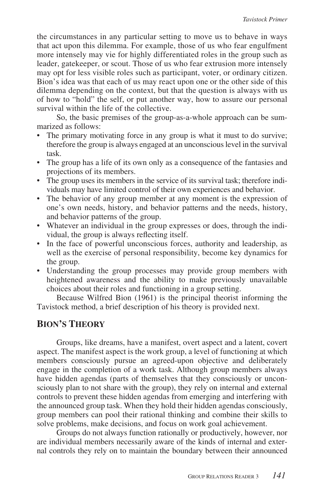the circumstances in any particular setting to move us to behave in ways that act upon this dilemma. For example, those of us who fear engulfment more intensely may vie for highly differentiated roles in the group such as leader, gatekeeper, or scout. Those of us who fear extrusion more intensely may opt for less visible roles such as participant, voter, or ordinary citizen. Bion's idea was that each of us may react upon one or the other side of this dilemma depending on the context, but that the question is always with us of how to "hold" the self, or put another way, how to assure our personal survival within the life of the collective.

So, the basic premises of the group-as-a-whole approach can be summarized as follows:

- The primary motivating force in any group is what it must to do survive; therefore the group is always engaged at an unconscious level in the survival task.
- The group has a life of its own only as a consequence of the fantasies and projections of its members.
- The group uses its members in the service of its survival task; therefore individuals may have limited control of their own experiences and behavior.
- The behavior of any group member at any moment is the expression of one's own needs, history, and behavior patterns and the needs, history, and behavior patterns of the group.
- Whatever an individual in the group expresses or does, through the individual, the group is always reflecting itself.
- In the face of powerful unconscious forces, authority and leadership, as well as the exercise of personal responsibility, become key dynamics for the group.
- Understanding the group processes may provide group members with heightened awareness and the ability to make previously unavailable choices about their roles and functioning in a group setting.

Because Wilfred Bion (1961) is the principal theorist informing the Tavistock method, a brief description of his theory is provided next.

# **BION'S THEORY**

Groups, like dreams, have a manifest, overt aspect and a latent, covert aspect. The manifest aspect is the work group, a level of functioning at which members consciously pursue an agreed-upon objective and deliberately engage in the completion of a work task. Although group members always have hidden agendas (parts of themselves that they consciously or unconsciously plan to not share with the group), they rely on internal and external controls to prevent these hidden agendas from emerging and interfering with the announced group task. When they hold their hidden agendas consciously, group members can pool their rational thinking and combine their skills to solve problems, make decisions, and focus on work goal achievement.

Groups do not always function rationally or productively, however, nor are individual members necessarily aware of the kinds of internal and external controls they rely on to maintain the boundary between their announced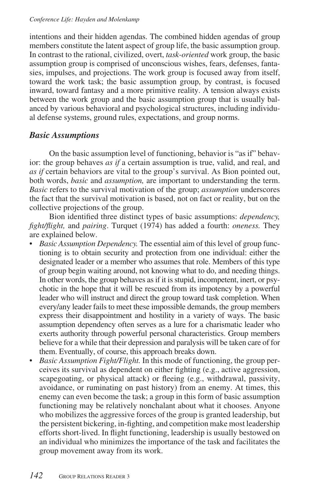intentions and their hidden agendas. The combined hidden agendas of group members constitute the latent aspect of group life, the basic assumption group. In contrast to the rational, civilized, overt, *task-oriented* work group, the basic assumption group is comprised of unconscious wishes, fears, defenses, fantasies, impulses, and projections. The work group is focused away from itself, toward the work task; the basic assumption group, by contrast, is focused inward, toward fantasy and a more primitive reality. A tension always exists between the work group and the basic assumption group that is usually balanced by various behavioral and psychological structures, including individual defense systems, ground rules, expectations, and group norms.

# *Basic Assumptions*

On the basic assumption level of functioning, behavior is "as if" behavior: the group behaves *as if* a certain assumption is true, valid, and real, and *as if* certain behaviors are vital to the group's survival. As Bion pointed out, both words, *basic* and *assumption,* are important to understanding the term. *Basic* refers to the survival motivation of the group; *assumption* underscores the fact that the survival motivation is based, not on fact or reality, but on the collective projections of the group.

Bion identified three distinct types of basic assumptions: *dependency, fight/flight,* and *pairing*. Turquet (1974) has added a fourth: *oneness.* They are explained below.

- *Basic Assumption Dependency.* The essential aim of this level of group functioning is to obtain security and protection from one individual: either the designated leader or a member who assumes that role. Members of this type of group begin waiting around, not knowing what to do, and needing things. In other words, the group behaves as if it is stupid, incompetent, inert, or psychotic in the hope that it will be rescued from its impotency by a powerful leader who will instruct and direct the group toward task completion. When every/any leader fails to meet these impossible demands, the group members express their disappointment and hostility in a variety of ways. The basic assumption dependency often serves as a lure for a charismatic leader who exerts authority through powerful personal characteristics. Group members believe for a while that their depression and paralysis will be taken care of for them. Eventually, of course, this approach breaks down.
- *Basic Assumption Fight/Flight.* In this mode of functioning, the group perceives its survival as dependent on either fighting (e.g., active aggression, scapegoating, or physical attack) or fleeing (e.g., withdrawal, passivity, avoidance, or ruminating on past history) from an enemy. At times, this enemy can even become the task; a group in this form of basic assumption functioning may be relatively nonchalant about what it chooses. Anyone who mobilizes the aggressive forces of the group is granted leadership, but the persistent bickering, in-fighting, and competition make most leadership efforts short-lived. In flight functioning, leadership is usually bestowed on an individual who minimizes the importance of the task and facilitates the group movement away from its work.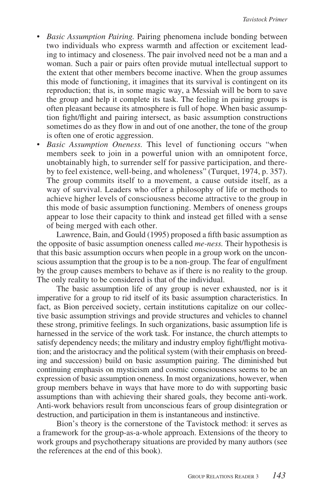- *Basic Assumption Pairing.* Pairing phenomena include bonding between two individuals who express warmth and affection or excitement leading to intimacy and closeness. The pair involved need not be a man and a woman. Such a pair or pairs often provide mutual intellectual support to the extent that other members become inactive. When the group assumes this mode of functioning, it imagines that its survival is contingent on its reproduction; that is, in some magic way, a Messiah will be born to save the group and help it complete its task. The feeling in pairing groups is often pleasant because its atmosphere is full of hope. When basic assumption fight/flight and pairing intersect, as basic assumption constructions sometimes do as they flow in and out of one another, the tone of the group is often one of erotic aggression.
- *Basic Assumption Oneness.* This level of functioning occurs "when members seek to join in a powerful union with an omnipotent force, unobtainably high, to surrender self for passive participation, and thereby to feel existence, well-being, and wholeness" (Turquet, 1974, p. 357). The group commits itself to a movement, a cause outside itself, as a way of survival. Leaders who offer a philosophy of life or methods to achieve higher levels of consciousness become attractive to the group in this mode of basic assumption functioning. Members of oneness groups appear to lose their capacity to think and instead get filled with a sense of being merged with each other.

Lawrence, Bain, and Gould (1995) proposed a fifth basic assumption as the opposite of basic assumption oneness called *me-ness.* Their hypothesis is that this basic assumption occurs when people in a group work on the unconscious assumption that the group is to be a non-group. The fear of engulfment by the group causes members to behave as if there is no reality to the group. The only reality to be considered is that of the individual.

The basic assumption life of any group is never exhausted, nor is it imperative for a group to rid itself of its basic assumption characteristics. In fact, as Bion perceived society, certain institutions capitalize on our collective basic assumption strivings and provide structures and vehicles to channel these strong, primitive feelings. In such organizations, basic assumption life is harnessed in the service of the work task. For instance, the church attempts to satisfy dependency needs; the military and industry employ fight/flight motivation; and the aristocracy and the political system (with their emphasis on breeding and succession) build on basic assumption pairing. The diminished but continuing emphasis on mysticism and cosmic consciousness seems to be an expression of basic assumption oneness. In most organizations, however, when group members behave in ways that have more to do with supporting basic assumptions than with achieving their shared goals, they become anti-work. Anti-work behaviors result from unconscious fears of group disintegration or destruction, and participation in them is instantaneous and instinctive.

Bion's theory is the cornerstone of the Tavistock method: it serves as a framework for the group-as-a-whole approach. Extensions of the theory to work groups and psychotherapy situations are provided by many authors (see the references at the end of this book).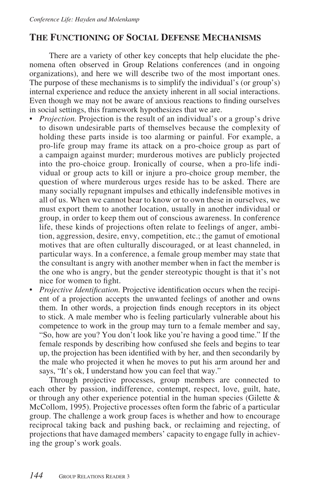# **THE FUNCTIONING OF SOCIAL DEFENSE MECHANISMS**

There are a variety of other key concepts that help elucidate the phenomena often observed in Group Relations conferences (and in ongoing organizations), and here we will describe two of the most important ones. The purpose of these mechanisms is to simplify the individual's (or group's) internal experience and reduce the anxiety inherent in all social interactions. Even though we may not be aware of anxious reactions to finding ourselves in social settings, this framework hypothesizes that we are.

- *Projection.* Projection is the result of an individual's or a group's drive to disown undesirable parts of themselves because the complexity of holding these parts inside is too alarming or painful. For example, a pro-life group may frame its attack on a pro-choice group as part of a campaign against murder; murderous motives are publicly projected into the pro-choice group. Ironically of course, when a pro-life individual or group acts to kill or injure a pro-choice group member, the question of where murderous urges reside has to be asked. There are many socially repugnant impulses and ethically indefensible motives in all of us. When we cannot bear to know or to own these in ourselves, we must export them to another location, usually in another individual or group, in order to keep them out of conscious awareness. In conference life, these kinds of projections often relate to feelings of anger, ambition, aggression, desire, envy, competition, etc.; the gamut of emotional motives that are often culturally discouraged, or at least channeled, in particular ways. In a conference, a female group member may state that the consultant is angry with another member when in fact the member is the one who is angry, but the gender stereotypic thought is that it's not nice for women to fight.
- *Projective Identification.* Projective identification occurs when the recipient of a projection accepts the unwanted feelings of another and owns them. In other words, a projection finds enough receptors in its object to stick. A male member who is feeling particularly vulnerable about his competence to work in the group may turn to a female member and say, "So, how are you? You don't look like you're having a good time." If the female responds by describing how confused she feels and begins to tear up, the projection has been identified with by her, and then secondarily by the male who projected it when he moves to put his arm around her and says, "It's ok, I understand how you can feel that way."

Through projective processes, group members are connected to each other by passion, indifference, contempt, respect, love, guilt, hate, or through any other experience potential in the human species (Gilette  $\&$ McCollom, 1995). Projective processes often form the fabric of a particular group. The challenge a work group faces is whether and how to encourage reciprocal taking back and pushing back, or reclaiming and rejecting, of projections that have damaged members' capacity to engage fully in achieving the group's work goals.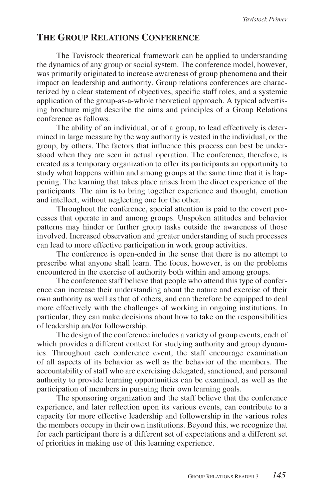# **THE GROUP RELATIONS CONFERENCE**

The Tavistock theoretical framework can be applied to understanding the dynamics of any group or social system. The conference model, however, was primarily originated to increase awareness of group phenomena and their impact on leadership and authority. Group relations conferences are characterized by a clear statement of objectives, specific staff roles, and a systemic application of the group-as-a-whole theoretical approach. A typical advertising brochure might describe the aims and principles of a Group Relations conference as follows.

The ability of an individual, or of a group, to lead effectively is determined in large measure by the way authority is vested in the individual, or the group, by others. The factors that influence this process can best be understood when they are seen in actual operation. The conference, therefore, is created as a temporary organization to offer its participants an opportunity to study what happens within and among groups at the same time that it is happening. The learning that takes place arises from the direct experience of the participants. The aim is to bring together experience and thought, emotion and intellect, without neglecting one for the other.

Throughout the conference, special attention is paid to the covert processes that operate in and among groups. Unspoken attitudes and behavior patterns may hinder or further group tasks outside the awareness of those involved. Increased observation and greater understanding of such processes can lead to more effective participation in work group activities.

The conference is open-ended in the sense that there is no attempt to prescribe what anyone shall learn. The focus, however, is on the problems encountered in the exercise of authority both within and among groups.

The conference staff believe that people who attend this type of conference can increase their understanding about the nature and exercise of their own authority as well as that of others, and can therefore be equipped to deal more effectively with the challenges of working in ongoing institutions. In particular, they can make decisions about how to take on the responsibilities of leadership and/or followership.

The design of the conference includes a variety of group events, each of which provides a different context for studying authority and group dynamics. Throughout each conference event, the staff encourage examination of all aspects of its behavior as well as the behavior of the members. The accountability of staff who are exercising delegated, sanctioned, and personal authority to provide learning opportunities can be examined, as well as the participation of members in pursuing their own learning goals.

The sponsoring organization and the staff believe that the conference experience, and later reflection upon its various events, can contribute to a capacity for more effective leadership and followership in the various roles the members occupy in their own institutions. Beyond this, we recognize that for each participant there is a different set of expectations and a different set of priorities in making use of this learning experience.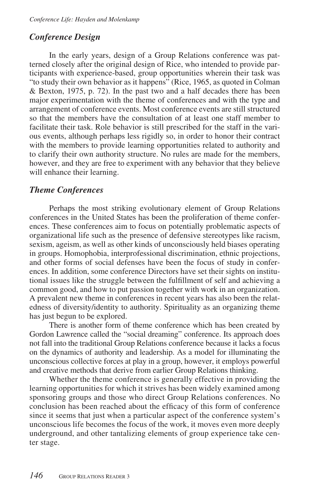# *Conference Design*

In the early years, design of a Group Relations conference was patterned closely after the original design of Rice, who intended to provide participants with experience-based, group opportunities wherein their task was "to study their own behavior as it happens" (Rice, 1965, as quoted in Colman & Bexton, 1975, p. 72). In the past two and a half decades there has been major experimentation with the theme of conferences and with the type and arrangement of conference events. Most conference events are still structured so that the members have the consultation of at least one staff member to facilitate their task. Role behavior is still prescribed for the staff in the various events, although perhaps less rigidly so, in order to honor their contract with the members to provide learning opportunities related to authority and to clarify their own authority structure. No rules are made for the members, however, and they are free to experiment with any behavior that they believe will enhance their learning.

# *Theme Conferences*

Perhaps the most striking evolutionary element of Group Relations conferences in the United States has been the proliferation of theme conferences. These conferences aim to focus on potentially problematic aspects of organizational life such as the presence of defensive stereotypes like racism, sexism, ageism, as well as other kinds of unconsciously held biases operating in groups. Homophobia, interprofessional discrimination, ethnic projections, and other forms of social defenses have been the focus of study in conferences. In addition, some conference Directors have set their sights on institutional issues like the struggle between the fulfillment of self and achieving a common good, and how to put passion together with work in an organization. A prevalent new theme in conferences in recent years has also been the relatedness of diversity/identity to authority. Spirituality as an organizing theme has just begun to be explored.

There is another form of theme conference which has been created by Gordon Lawrence called the "social dreaming" conference. Its approach does not fall into the traditional Group Relations conference because it lacks a focus on the dynamics of authority and leadership. As a model for illuminating the unconscious collective forces at play in a group, however, it employs powerful and creative methods that derive from earlier Group Relations thinking.

Whether the theme conference is generally effective in providing the learning opportunities for which it strives has been widely examined among sponsoring groups and those who direct Group Relations conferences. No conclusion has been reached about the efficacy of this form of conference since it seems that just when a particular aspect of the conference system's unconscious life becomes the focus of the work, it moves even more deeply underground, and other tantalizing elements of group experience take center stage.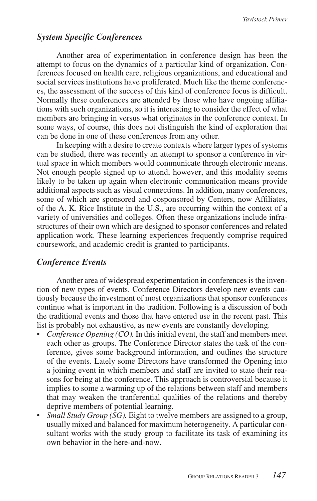# *System Specific Conferences*

Another area of experimentation in conference design has been the attempt to focus on the dynamics of a particular kind of organization. Conferences focused on health care, religious organizations, and educational and social services institutions have proliferated. Much like the theme conferences, the assessment of the success of this kind of conference focus is difficult. Normally these conferences are attended by those who have ongoing affiliations with such organizations, so it is interesting to consider the effect of what members are bringing in versus what originates in the conference context. In some ways, of course, this does not distinguish the kind of exploration that can be done in one of these conferences from any other.

In keeping with a desire to create contexts where larger types of systems can be studied, there was recently an attempt to sponsor a conference in virtual space in which members would communicate through electronic means. Not enough people signed up to attend, however, and this modality seems likely to be taken up again when electronic communication means provide additional aspects such as visual connections. In addition, many conferences, some of which are sponsored and cosponsored by Centers, now Affiliates, of the A. K. Rice Institute in the U.S., are occurring within the context of a variety of universities and colleges. Often these organizations include infrastructures of their own which are designed to sponsor conferences and related application work. These learning experiences frequently comprise required coursework, and academic credit is granted to participants.

## *Conference Events*

Another area of widespread experimentation in conferences is the invention of new types of events. Conference Directors develop new events cautiously because the investment of most organizations that sponsor conferences continue what is important in the tradition. Following is a discussion of both the traditional events and those that have entered use in the recent past. This list is probably not exhaustive, as new events are constantly developing.

- *Conference Opening (CO).* In this initial event, the staff and members meet each other as groups. The Conference Director states the task of the conference, gives some background information, and outlines the structure of the events. Lately some Directors have transformed the Opening into a joining event in which members and staff are invited to state their reasons for being at the conference. This approach is controversial because it implies to some a warming up of the relations between staff and members that may weaken the tranferential qualities of the relations and thereby deprive members of potential learning.
- *Small Study Group (SG)*. Eight to twelve members are assigned to a group, usually mixed and balanced for maximum heterogeneity. A particular consultant works with the study group to facilitate its task of examining its own behavior in the here-and-now.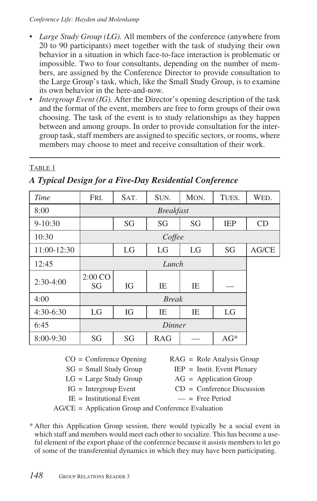#### *Conference Life: Hayden and Molenkamp*

- *Large Study Group (LG)*. All members of the conference (anywhere from 20 to 90 participants) meet together with the task of studying their own behavior in a situation in which face-to-face interaction is problematic or impossible. Two to four consultants, depending on the number of members, are assigned by the Conference Director to provide consultation to the Large Group's task, which, like the Small Study Group, is to examine its own behavior in the here-and-now.
- *Intergroup Event (IG)*. After the Director's opening description of the task and the format of the event, members are free to form groups of their own choosing. The task of the event is to study relationships as they happen between and among groups. In order to provide consultation for the intergroup task, staff members are assigned to specific sectors, or rooms, where members may choose to meet and receive consultation of their work.

# TABLE 1

| Time        | FRI.             | SAT. | SUN.       | MON. | TUES.      | WED.  |  |  |
|-------------|------------------|------|------------|------|------------|-------|--|--|
| 8:00        | <b>Breakfast</b> |      |            |      |            |       |  |  |
| $9 - 10:30$ |                  | SG   | SG         | SG   | <b>IEP</b> | CD    |  |  |
| 10:30       | Coffee           |      |            |      |            |       |  |  |
| 11:00-12:30 |                  | LG   | LG         | LG   | SG         | AG/CE |  |  |
| 12:45       | Lunch            |      |            |      |            |       |  |  |
| $2:30-4:00$ | 2:00 CO<br>SG    | IG   | IE         | IE   |            |       |  |  |
| 4:00        |                  |      |            |      |            |       |  |  |
| $4:30-6:30$ | LG               | IG   | IE         | IE   | LG         |       |  |  |
| 6:45        | Dinner           |      |            |      |            |       |  |  |
| $8:00-9:30$ | SG               | SG   | <b>RAG</b> |      | $AG^*$     |       |  |  |

# *A Typical Design for a Five-Day Residential Conference*

- $CO = \text{Conference Opening}$  RAG = Role Analysis Group
- $SG = Small Study Group$  IEP = Instit. Event Plenary
- 
- 
- $IE = Institutional Event$   $-$  = Free Period
- 

- $LG = Large Study Group$   $AG = Application Group$
- $IG = Intergroup Event$   $CD = Conference Discussion$ 
	-

AG/CE = Application Group and Conference Evaluation

\* After this Application Group session, there would typically be a social event in which staff and members would meet each other to socialize. This has become a useful element of the export phase of the conference because it assists members to let go of some of the transferential dynamics in which they may have been participating.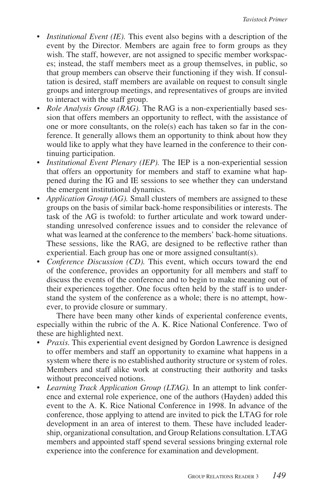- *Institutional Event (IE).* This event also begins with a description of the event by the Director. Members are again free to form groups as they wish. The staff, however, are not assigned to specific member workspaces; instead, the staff members meet as a group themselves, in public, so that group members can observe their functioning if they wish. If consultation is desired, staff members are available on request to consult single groups and intergroup meetings, and representatives of groups are invited to interact with the staff group.
- *Role Analysis Group (RAG)*. The RAG is a non-experientially based session that offers members an opportunity to reflect, with the assistance of one or more consultants, on the role(s) each has taken so far in the conference. It generally allows them an opportunity to think about how they would like to apply what they have learned in the conference to their continuing participation.
- *Institutional Event Plenary (IEP).* The IEP is a non-experiential session that offers an opportunity for members and staff to examine what happened during the IG and IE sessions to see whether they can understand the emergent institutional dynamics.
- *Application Group (AG).* Small clusters of members are assigned to these groups on the basis of similar back-home responsibilities or interests. The task of the AG is twofold: to further articulate and work toward understanding unresolved conference issues and to consider the relevance of what was learned at the conference to the members' back-home situations. These sessions, like the RAG, are designed to be reflective rather than experiential. Each group has one or more assigned consultant(s).
- *Conference Discussion (CD).* This event, which occurs toward the end of the conference, provides an opportunity for all members and staff to discuss the events of the conference and to begin to make meaning out of their experiences together. One focus often held by the staff is to understand the system of the conference as a whole; there is no attempt, however, to provide closure or summary.

There have been many other kinds of experiental conference events, especially within the rubric of the A. K. Rice National Conference. Two of these are highlighted next.

- *Praxis.* This experiential event designed by Gordon Lawrence is designed to offer members and staff an opportunity to examine what happens in a system where there is no established authority structure or system of roles. Members and staff alike work at constructing their authority and tasks without preconceived notions.
- *Learning Track Application Group (LTAG).* In an attempt to link conference and external role experience, one of the authors (Hayden) added this event to the A. K. Rice National Conference in 1998. In advance of the conference, those applying to attend are invited to pick the LTAG for role development in an area of interest to them. These have included leadership, organizational consultation, and Group Relations consultation. LTAG members and appointed staff spend several sessions bringing external role experience into the conference for examination and development.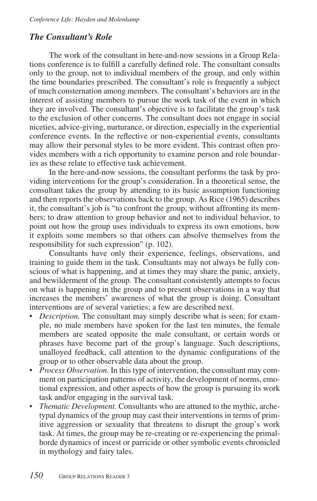# *The Consultant's Role*

The work of the consultant in here-and-now sessions in a Group Relations conference is to fulfill a carefully defined role. The consultant consults only to the group, not to individual members of the group, and only within the time boundaries prescribed. The consultant's role is frequently a subject of much consternation among members. The consultant's behaviors are in the interest of assisting members to pursue the work task of the event in which they are involved. The consultant's objective is to facilitate the group's task to the exclusion of other concerns. The consultant does not engage in social niceties, advice-giving, nurturance, or direction, especially in the experiential conference events. In the reflective or non-experiential events, consultants may allow their personal styles to be more evident. This contrast often provides members with a rich opportunity to examine person and role boundaries as these relate to effective task achievement.

In the here-and-now sessions, the consultant performs the task by providing interventions for the group's consideration. In a theoretical sense, the consultant takes the group by attending to its basic assumption functioning and then reports the observations back to the group. As Rice (1965) describes it, the consultant's job is "to confront the group, without affronting its members; to draw attention to group behavior and not to individual behavior, to point out how the group uses individuals to express its own emotions, how it exploits some members so that others can absolve themselves from the responsibility for such expression" (p. 102).

Consultants have only their experience, feelings, observations, and training to guide them in the task. Consultants may not always be fully conscious of what is happening, and at times they may share the panic, anxiety, and bewilderment of the group. The consultant consistently attempts to focus on what is happening in the group and to present observations in a way that increases the members' awareness of what the group is doing. Consultant interventions are of several varieties; a few are described next.

- *Description.* The consultant may simply describe what is seen; for example, no male members have spoken for the last ten minutes, the female members are seated opposite the male consultant, or certain words or phrases have become part of the group's language. Such descriptions, unalloyed feedback, call attention to the dynamic configurations of the group or to other observable data about the group.
- *Process Observation.* In this type of intervention, the consultant may comment on participation patterns of activity, the development of norms, emotional expression, and other aspects of how the group is pursuing its work task and/or engaging in the survival task.
- *Thematic Development.* Consultants who are attuned to the mythic, archetypal dynamics of the group may cast their interventions in terms of primitive aggression or sexuality that threatens to disrupt the group's work task. At times, the group may be re-creating or re-experiencing the primalhorde dynamics of incest or parricide or other symbolic events chronicled in mythology and fairy tales.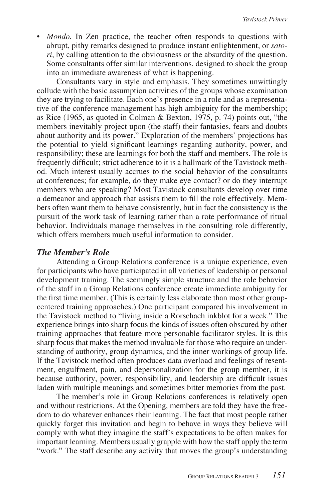• *Mondo*. In Zen practice, the teacher often responds to questions with abrupt, pithy remarks designed to produce instant enlightenment, or *satori*, by calling attention to the obviousness or the absurdity of the question. Some consultants offer similar interventions, designed to shock the group into an immediate awareness of what is happening.

Consultants vary in style and emphasis. They sometimes unwittingly collude with the basic assumption activities of the groups whose examination they are trying to facilitate. Each one's presence in a role and as a representative of the conference management has high ambiguity for the membership; as Rice (1965, as quoted in Colman & Bexton, 1975, p. 74) points out, "the members inevitably project upon (the staff) their fantasies, fears and doubts about authority and its power." Exploration of the members' projections has the potential to yield significant learnings regarding authority, power, and responsibility; these are learnings for both the staff and members. The role is frequently difficult; strict adherence to it is a hallmark of the Tavistock method. Much interest usually accrues to the social behavior of the consultants at conferences; for example, do they make eye contact? or do they interrupt members who are speaking? Most Tavistock consultants develop over time a demeanor and approach that assists them to fill the role effectively. Members often want them to behave consistently, but in fact the consistency is the pursuit of the work task of learning rather than a rote performance of ritual behavior. Individuals manage themselves in the consulting role differently, which offers members much useful information to consider.

## *The Member's Role*

Attending a Group Relations conference is a unique experience, even for participants who have participated in all varieties of leadership or personal development training. The seemingly simple structure and the role behavior of the staff in a Group Relations conference create immediate ambiguity for the first time member. (This is certainly less elaborate than most other groupcentered training approaches.) One participant compared his involvement in the Tavistock method to "living inside a Rorschach inkblot for a week." The experience brings into sharp focus the kinds of issues often obscured by other training approaches that feature more personable facilitator styles. It is this sharp focus that makes the method invaluable for those who require an understanding of authority, group dynamics, and the inner workings of group life. If the Tavistock method often produces data overload and feelings of resentment, engulfment, pain, and depersonalization for the group member, it is because authority, power, responsibility, and leadership are difficult issues laden with multiple meanings and sometimes bitter memories from the past.

The member's role in Group Relations conferences is relatively open and without restrictions. At the Opening, members are told they have the freedom to do whatever enhances their learning. The fact that most people rather quickly forget this invitation and begin to behave in ways they believe will comply with what they imagine the staff's expectations to be often makes for important learning. Members usually grapple with how the staff apply the term "work." The staff describe any activity that moves the group's understanding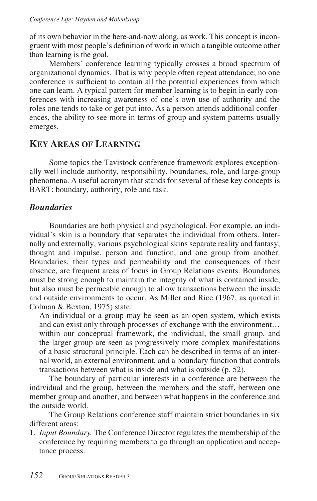of its own behavior in the here-and-now along, as work. This concept is incongruent with most people's definition of work in which a tangible outcome other than learning is the goal.

Members' conference learning typically crosses a broad spectrum of organizational dynamics. That is why people often repeat attendance; no one conference is sufficient to contain all the potential experiences from which one can learn. A typical pattern for member learning is to begin in early conferences with increasing awareness of one's own use of authority and the roles one tends to take or get put into. As a person attends additional conferences, the ability to see more in terms of group and system patterns usually emerges.

# **KEY AREAS OF LEARNING**

Some topics the Tavistock conference framework explores exceptionally well include authority, responsibility, boundaries, role, and large-group phenomena. A useful acronym that stands for several of these key concepts is BART: boundary, authority, role and task.

# *Boundaries*

Boundaries are both physical and psychological. For example, an individual's skin is a boundary that separates the individual from others. Internally and externally, various psychological skins separate reality and fantasy, thought and impulse, person and function, and one group from another. Boundaries, their types and permeability and the consequences of their absence, are frequent areas of focus in Group Relations events. Boundaries must be strong enough to maintain the integrity of what is contained inside, but also must be permeable enough to allow transactions between the inside and outside environments to occur. As Miller and Rice (1967, as quoted in Colman & Bexton, 1975) state:

 An individual or a group may be seen as an open system, which exists and can exist only through processes of exchange with the environment… within our conceptual framework, the individual, the small group, and the larger group are seen as progressively more complex manifestations of a basic structural principle. Each can be described in terms of an internal world, an external environment, and a boundary function that controls transactions between what is inside and what is outside (p. 52).

The boundary of particular interests in a conference are between the individual and the group, between the members and the staff, between one member group and another, and between what happens in the conference and the outside world.

The Group Relations conference staff maintain strict boundaries in six different areas:

1. *Input Boundary.* The Conference Director regulates the membership of the conference by requiring members to go through an application and acceptance process.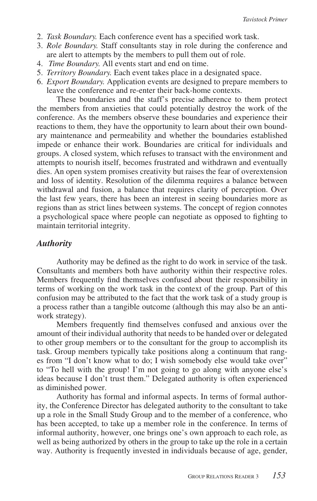- 2. *Task Boundary.* Each conference event has a specified work task.
- 3. *Role Boundary.* Staff consultants stay in role during the conference and are alert to attempts by the members to pull them out of role.
- 4. *Time Boundary.* All events start and end on time.
- 5. *Territory Boundary.* Each event takes place in a designated space.
- 6. *Export Boundary.* Application events are designed to prepare members to leave the conference and re-enter their back-home contexts.

These boundaries and the staff's precise adherence to them protect the members from anxieties that could potentially destroy the work of the conference. As the members observe these boundaries and experience their reactions to them, they have the opportunity to learn about their own boundary maintenance and permeability and whether the boundaries established impede or enhance their work. Boundaries are critical for individuals and groups. A closed system, which refuses to transact with the environment and attempts to nourish itself, becomes frustrated and withdrawn and eventually dies. An open system promises creativity but raises the fear of overextension and loss of identity. Resolution of the dilemma requires a balance between withdrawal and fusion, a balance that requires clarity of perception. Over the last few years, there has been an interest in seeing boundaries more as regions than as strict lines between systems. The concept of region connotes a psychological space where people can negotiate as opposed to fighting to maintain territorial integrity.

#### *Authority*

Authority may be defined as the right to do work in service of the task. Consultants and members both have authority within their respective roles. Members frequently find themselves confused about their responsibility in terms of working on the work task in the context of the group. Part of this confusion may be attributed to the fact that the work task of a study group is a process rather than a tangible outcome (although this may also be an antiwork strategy).

Members frequently find themselves confused and anxious over the amount of their individual authority that needs to be handed over or delegated to other group members or to the consultant for the group to accomplish its task. Group members typically take positions along a continuum that ranges from "I don't know what to do; I wish somebody else would take over" to "To hell with the group! I'm not going to go along with anyone else's ideas because I don't trust them." Delegated authority is often experienced as diminished power.

Authority has formal and informal aspects. In terms of formal authority, the Conference Director has delegated authority to the consultant to take up a role in the Small Study Group and to the member of a conference, who has been accepted, to take up a member role in the conference. In terms of informal authority, however, one brings one's own approach to each role, as well as being authorized by others in the group to take up the role in a certain way. Authority is frequently invested in individuals because of age, gender,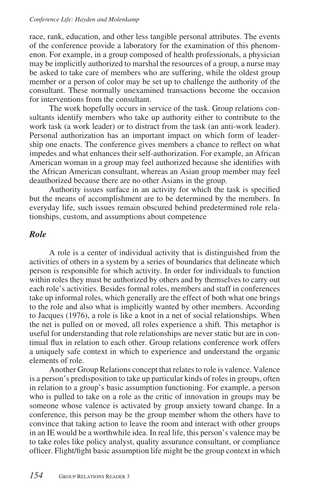#### *Conference Life: Hayden and Molenkamp*

race, rank, education, and other less tangible personal attributes. The events of the conference provide a laboratory for the examination of this phenomenon. For example, in a group composed of health professionals, a physician may be implicitly authorized to marshal the resources of a group, a nurse may be asked to take care of members who are suffering, while the oldest group member or a person of color may be set up to challenge the authority of the consultant. These normally unexamined transactions become the occasion for interventions from the consultant.

The work hopefully occurs in service of the task. Group relations consultants identify members who take up authority either to contribute to the work task (a work leader) or to distract from the task (an anti-work leader). Personal authorization has an important impact on which form of leadership one enacts. The conference gives members a chance to reflect on what impedes and what enhances their self-authorization. For example, an African American woman in a group may feel authorized because she identifies with the African American consultant, whereas an Asian group member may feel deauthorized because there are no other Asians in the group.

Authority issues surface in an activity for which the task is specified but the means of accomplishment are to be determined by the members. In everyday life, such issues remain obscured behind predetermined role relationships, custom, and assumptions about competence

## *Role*

A role is a center of individual activity that is distinguished from the activities of others in a system by a series of boundaries that delineate which person is responsible for which activity. In order for individuals to function within roles they must be authorized by others and by themselves to carry out each role's activities. Besides formal roles, members and staff in conferences take up informal roles, which generally are the effect of both what one brings to the role and also what is implicitly wanted by other members. According to Jacques (1976), a role is like a knot in a net of social relationships. When the net is pulled on or moved, all roles experience a shift. This metaphor is useful for understanding that role relationships are never static but are in continual flux in relation to each other. Group relations conference work offers a uniquely safe context in which to experience and understand the organic elements of role.

Another Group Relations concept that relates to role is valence. Valence is a person's predisposition to take up particular kinds of roles in groups, often in relation to a group's basic assumption functioning. For example, a person who is pulled to take on a role as the critic of innovation in groups may be someone whose valence is activated by group anxiety toward change. In a conference, this person may be the group member whom the others have to convince that taking action to leave the room and interact with other groups in an IE would be a worthwhile idea. In real life, this person's valence may be to take roles like policy analyst, quality assurance consultant, or compliance officer. Flight/fight basic assumption life might be the group context in which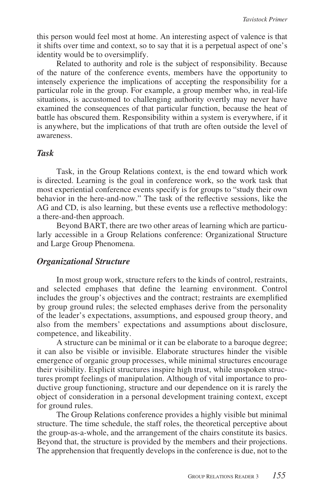this person would feel most at home. An interesting aspect of valence is that it shifts over time and context, so to say that it is a perpetual aspect of one's identity would be to oversimplify.

Related to authority and role is the subject of responsibility. Because of the nature of the conference events, members have the opportunity to intensely experience the implications of accepting the responsibility for a particular role in the group. For example, a group member who, in real-life situations, is accustomed to challenging authority overtly may never have examined the consequences of that particular function, because the heat of battle has obscured them. Responsibility within a system is everywhere, if it is anywhere, but the implications of that truth are often outside the level of awareness.

#### *Task*

Task, in the Group Relations context, is the end toward which work is directed. Learning is the goal in conference work, so the work task that most experiential conference events specify is for groups to "study their own behavior in the here-and-now." The task of the reflective sessions, like the AG and CD, is also learning, but these events use a reflective methodology: a there-and-then approach.

Beyond BART, there are two other areas of learning which are particularly accessible in a Group Relations conference: Organizational Structure and Large Group Phenomena.

## *Organizational Structure*

In most group work, structure refers to the kinds of control, restraints, and selected emphases that define the learning environment. Control includes the group's objectives and the contract; restraints are exemplified by group ground rules; the selected emphases derive from the personality of the leader's expectations, assumptions, and espoused group theory, and also from the members' expectations and assumptions about disclosure, competence, and likeability.

A structure can be minimal or it can be elaborate to a baroque degree; it can also be visible or invisible. Elaborate structures hinder the visible emergence of organic group processes, while minimal structures encourage their visibility. Explicit structures inspire high trust, while unspoken structures prompt feelings of manipulation. Although of vital importance to productive group functioning, structure and our dependence on it is rarely the object of consideration in a personal development training context, except for ground rules.

The Group Relations conference provides a highly visible but minimal structure. The time schedule, the staff roles, the theoretical perceptive about the group-as-a-whole, and the arrangement of the chairs constitute its basics. Beyond that, the structure is provided by the members and their projections. The apprehension that frequently develops in the conference is due, not to the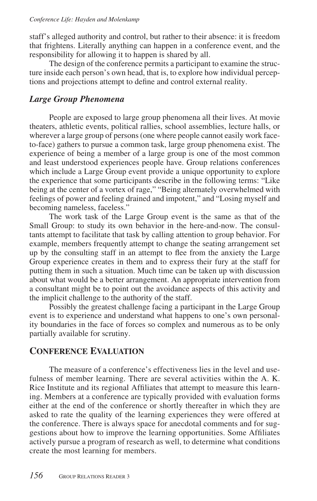staff's alleged authority and control, but rather to their absence: it is freedom that frightens. Literally anything can happen in a conference event, and the responsibility for allowing it to happen is shared by all.

The design of the conference permits a participant to examine the structure inside each person's own head, that is, to explore how individual perceptions and projections attempt to define and control external reality.

# *Large Group Phenomena*

People are exposed to large group phenomena all their lives. At movie theaters, athletic events, political rallies, school assemblies, lecture halls, or wherever a large group of persons (one where people cannot easily work faceto-face) gathers to pursue a common task, large group phenomena exist. The experience of being a member of a large group is one of the most common and least understood experiences people have. Group relations conferences which include a Large Group event provide a unique opportunity to explore the experience that some participants describe in the following terms: "Like being at the center of a vortex of rage," "Being alternately overwhelmed with feelings of power and feeling drained and impotent," and "Losing myself and becoming nameless, faceless."

The work task of the Large Group event is the same as that of the Small Group: to study its own behavior in the here-and-now. The consultants attempt to facilitate that task by calling attention to group behavior. For example, members frequently attempt to change the seating arrangement set up by the consulting staff in an attempt to flee from the anxiety the Large Group experience creates in them and to express their fury at the staff for putting them in such a situation. Much time can be taken up with discussion about what would be a better arrangement. An appropriate intervention from a consultant might be to point out the avoidance aspects of this activity and the implicit challenge to the authority of the staff.

Possibly the greatest challenge facing a participant in the Large Group event is to experience and understand what happens to one's own personality boundaries in the face of forces so complex and numerous as to be only partially available for scrutiny.

# **CONFERENCE EVALUATION**

The measure of a conference's effectiveness lies in the level and usefulness of member learning. There are several activities within the A. K. Rice Institute and its regional Affiliates that attempt to measure this learning. Members at a conference are typically provided with evaluation forms either at the end of the conference or shortly thereafter in which they are asked to rate the quality of the learning experiences they were offered at the conference. There is always space for anecdotal comments and for suggestions about how to improve the learning opportunities. Some Affiliates actively pursue a program of research as well, to determine what conditions create the most learning for members.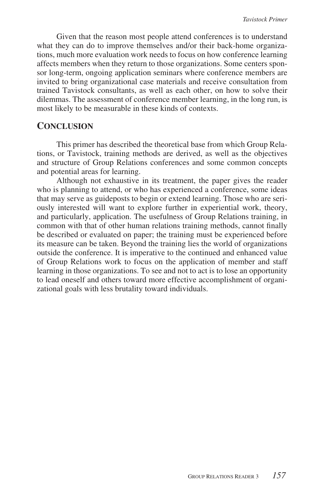Given that the reason most people attend conferences is to understand what they can do to improve themselves and/or their back-home organizations, much more evaluation work needs to focus on how conference learning affects members when they return to those organizations. Some centers sponsor long-term, ongoing application seminars where conference members are invited to bring organizational case materials and receive consultation from trained Tavistock consultants, as well as each other, on how to solve their dilemmas. The assessment of conference member learning, in the long run, is most likely to be measurable in these kinds of contexts.

# **CONCLUSION**

This primer has described the theoretical base from which Group Relations, or Tavistock, training methods are derived, as well as the objectives and structure of Group Relations conferences and some common concepts and potential areas for learning.

Although not exhaustive in its treatment, the paper gives the reader who is planning to attend, or who has experienced a conference, some ideas that may serve as guideposts to begin or extend learning. Those who are seriously interested will want to explore further in experiential work, theory, and particularly, application. The usefulness of Group Relations training, in common with that of other human relations training methods, cannot finally be described or evaluated on paper; the training must be experienced before its measure can be taken. Beyond the training lies the world of organizations outside the conference. It is imperative to the continued and enhanced value of Group Relations work to focus on the application of member and staff learning in those organizations. To see and not to act is to lose an opportunity to lead oneself and others toward more effective accomplishment of organizational goals with less brutality toward individuals.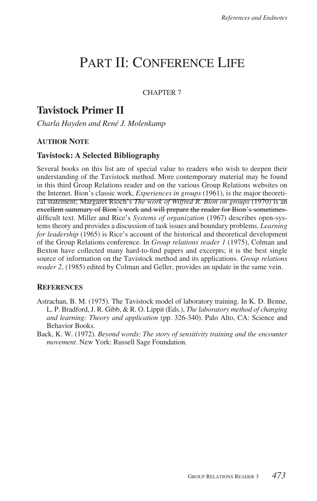# PART II: CONFERENCE LIFE

CHAPTER 7

# **Tavistock Primer II**

*Charla Hayden and René J. Molenkamp*

# **AUTHOR NOTE**

# **Tavistock: A Selected Bibliography**

Several books on this list are of special value to readers who wish to deepen their understanding of the Tavistock method. More contemporary material may be found in this third Group Relations reader and on the various Group Relations websites on the Internet. Bion's classic work, *Experiences in groups* (1961), is the major theoretical statement; Margaret Rioch's *The work of Wilfred R. Bion on groups* (1970) is an excellent summary of Bion's work and will prepare the reader for Bion's sometimesdifficult text. Miller and Rice's *Systems of organization* (1967) describes open-systems theory and provides a discussion of task issues and boundary problems. *Learning for leadership* (1965) is Rice's account of the historical and theoretical development of the Group Relations conference. In *Group relations reader 1* (1975), Colman and Bexton have collected many hard-to-find papers and excerpts; it is the best single source of information on the Tavistock method and its applications. *Group relations reader 2*, (1985) edited by Colman and Geller, provides an update in the same vein.

#### **REFERENCES**

- Astrachan, B. M. (1975). The Tavistock model of laboratory training. In K. D. Benne, L. P. Bradford, J. R. Gibb, & R. O. Lippit (Eds.), *The laboratory method of changing and learning: Theory and application* (pp. 326-340). Palo Alto, CA: Science and Behavior Books.
- Back, K. W. (1972). *Beyond words: The story of sensitivity training and the encounter movement*. New York: Russell Sage Foundation.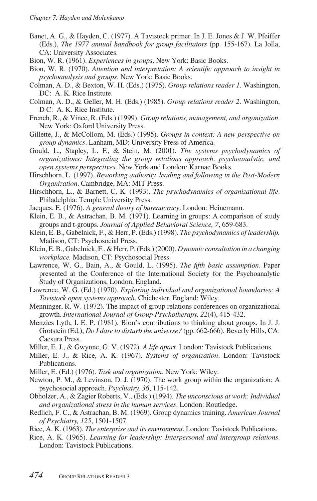- Banet, A. G., & Hayden, C. (1977). A Tavistock primer. In J. E. Jones & J. W. Pfeiffer (Eds.), *The 1977 annual handbook for group facilitators* (pp. 155-167). La Jolla, CA: University Associates.
- Bion, W. R. (1961). *Experiences in groups*. New York: Basic Books.
- Bion, W. R. (1970). *Attention and interpretation: A scientific approach to insight in psychoanalysis and groups*. New York: Basic Books.
- Colman, A. D., & Bexton, W. H. (Eds.) (1975). *Group relations reader 1*. Washington, DC: A. K. Rice Institute.
- Colman, A. D., & Geller, M. H. (Eds.) (1985). *Group relations reader 2*. Washington, D C: A. K. Rice Institute.
- French, R., & Vince, R. (Eds.) (1999). *Group relations, management, and organization*. New York: Oxford University Press.
- Gillette, J., & McCollom, M. (Eds.) (1995). *Groups in context: A new perspective on group dynamics*. Lanham, MD: University Press of America.
- Gould, L., Stapley, L. F., & Stein, M. (2001). *The systems psychodynamics of organizations: Integrating the group relations approach, psychoanalytic, and open systems perspectives*. New York and London: Karnac Books.
- Hirschhorn, L. (1997)*. Reworking authority, leading and following in the Post-Modern Organization*. Cambridge, MA: MIT Press.
- Hirschhorn, L., & Barnett, C. K. (1993). *The psychodynamics of organizational life*. Philadelphia: Temple University Press.
- Jacques, E. (1976). *A general theory of bureaucracy*. London: Heinemann.
- Klein, E. B., & Astrachan, B. M. (1971). Learning in groups: A comparison of study groups and t-groups. *Journal of Applied Behavioral Science, 7*, 659-683.
- Klein, E. B., Gabelnick, F., & Herr, P. (Eds.) (1998). *The psychodynamics of leadership.* Madison, CT: Psychosocial Press.
- Klein, E. B., Gabelnick, F., & Herr, P. (Eds.) (2000). *Dynamic consultation in a changing workplace.* Madison, CT: Psychosocial Press.
- Lawrence, W. G., Bain, A., & Gould, L. (1995). *The fifth basic assumption*. Paper presented at the Conference of the International Society for the Psychoanalytic Study of Organizations, London, England.
- Lawrence, W. G. (Ed.) (1970). *Exploring individual and organizational boundaries: A Tavistock open systems approach*. Chichester, England: Wiley.
- Menninger, R. W. (1972). The impact of group relations conferences on organizational growth. *International Journal of Group Psychotherapy, 22*(4), 415-432.
- Menzies Lyth, I. E. P. (1981). Bion's contributions to thinking about groups. In J. J. Grotstein (Ed.), *Do I dare to disturb the universe?* (pp. 662-666). Beverly Hills, CA: Caesura Press.
- Miller, E. J., & Gwynne, G. V. (1972). *A life apart.* London: Tavistock Publications.
- Miller, E. J., & Rice, A. K. (1967). *Systems of organization*. London: Tavistock Publications.
- Miller, E. (Ed.) (1976). *Task and organization*. New York: Wiley.
- Newton, P. M., & Levinson, D. J. (1970). The work group within the organization: A psychosocial approach. *Psychiatry, 36*, 115-142.
- Obholzer, A., & Zagier Roberts, V., (Eds.) (1994). *The unconscious at work: Individual and organizational stress in the human services*. London: Routledge.
- Redlich, F. C., & Astrachan, B. M. (1969). Group dynamics training. *American Journal of Psychiatry, 125*, 1501-1507.
- Rice, A. K. (1963). *The enterprise and its environment*. London: Tavistock Publications.
- Rice, A. K. (1965). *Learning for leadership: Interpersonal and intergroup relations*. London: Tavistock Publications.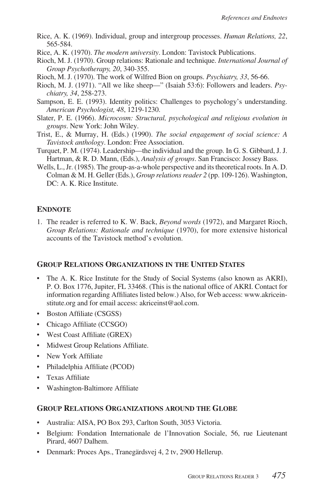- Rice, A. K. (1969). Individual, group and intergroup processes. *Human Relations, 22*, 565-584.
- Rice, A. K. (1970). *The modern university*. London: Tavistock Publications.
- Rioch, M. J. (1970). Group relations: Rationale and technique. *International Journal of Group Psychotherapy, 20*, 340-355.
- Rioch, M. J. (1970). The work of Wilfred Bion on groups. *Psychiatry, 33*, 56-66.
- Rioch, M. J. (1971). "All we like sheep—" (Isaiah 53:6): Followers and leaders. *Psychiatry, 34*, 258-273.
- Sampson, E. E. (1993). Identity politics: Challenges to psychology's understanding. *American Psychologist, 48*, 1219-1230.
- Slater, P. E. (1966). *Microcosm: Structural, psychological and religious evolution in groups*. New York: John Wiley.
- Trist, E., & Murray, H. (Eds.) (1990). *The social engagement of social science: A Tavistock anthology*. London: Free Association.
- Turquet, P. M. (1974). Leadership—the individual and the group. In G. S. Gibbard, J. J. Hartman, & R. D. Mann, (Eds.), *Analysis of groups*. San Francisco: Jossey Bass.
- Wells, L., Jr. (1985). The group-as-a-whole perspective and its theoretical roots. In A. D. Colman & M. H. Geller (Eds.), *Group relations reader 2* (pp. 109-126). Washington, DC: A. K. Rice Institute.

## **ENDNOTE**

1. The reader is referred to K. W. Back, *Beyond words* (1972), and Margaret Rioch, *Group Relations: Rationale and technique* (1970), for more extensive historical accounts of the Tavistock method's evolution.

## **GROUP RELATIONS ORGANIZATIONS IN THE UNITED STATES**

- The A. K. Rice Institute for the Study of Social Systems (also known as AKRI), P. O. Box 1776, Jupiter, FL 33468. (This is the national office of AKRI. Contact for information regarding Affiliates listed below.) Also, for Web access: www.akriceinstitute.org and for email access: akriceinst@aol.com.
- Boston Affiliate (CSGSS)
- Chicago Affiliate (CCSGO)
- West Coast Affiliate (GREX)
- Midwest Group Relations Affiliate.
- New York Affiliate
- Philadelphia Affiliate (PCOD)
- Texas Affiliate
- Washington-Baltimore Affiliate

## **GROUP RELATIONS ORGANIZATIONS AROUND THE GLOBE**

- Australia: AISA, PO Box 293, Carlton South, 3053 Victoria.
- Belgium: Fondation Internationale de l'Innovation Sociale, 56, rue Lieutenant Pirard, 4607 Dalhem.
- Denmark: Proces Aps., Tranegärdsvej 4, 2 tv, 2900 Hellerup.